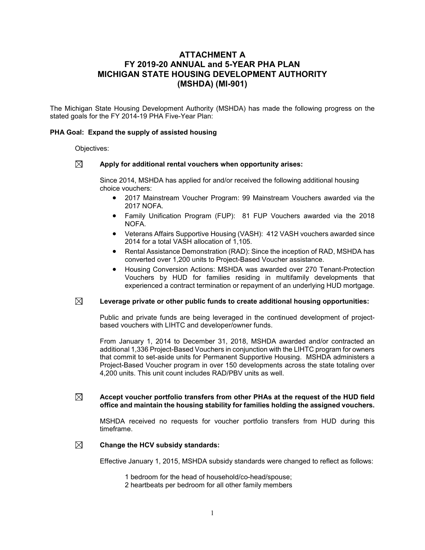# **ATTACHMENT A FY 2019-20 ANNUAL and 5-YEAR PHA PLAN MICHIGAN STATE HOUSING DEVELOPMENT AUTHORITY (MSHDA) (MI-901)**

The Michigan State Housing Development Authority (MSHDA) has made the following progress on the stated goals for the FY 2014-19 PHA Five-Year Plan:

### **PHA Goal: Expand the supply of assisted housing**

Objectives:

#### $\boxtimes$ **Apply for additional rental vouchers when opportunity arises:**

Since 2014, MSHDA has applied for and/or received the following additional housing choice vouchers:

- 2017 Mainstream Voucher Program: 99 Mainstream Vouchers awarded via the 2017 NOFA.
- Family Unification Program (FUP): 81 FUP Vouchers awarded via the 2018 NOFA.
- Veterans Affairs Supportive Housing (VASH): 412 VASH vouchers awarded since 2014 for a total VASH allocation of 1,105.
- Rental Assistance Demonstration (RAD): Since the inception of RAD, MSHDA has converted over 1,200 units to Project-Based Voucher assistance.
- Housing Conversion Actions: MSHDA was awarded over 270 Tenant-Protection Vouchers by HUD for families residing in multifamily developments that experienced a contract termination or repayment of an underlying HUD mortgage.

#### $\boxtimes$ **Leverage private or other public funds to create additional housing opportunities:**

Public and private funds are being leveraged in the continued development of projectbased vouchers with LIHTC and developer/owner funds.

From January 1, 2014 to December 31, 2018, MSHDA awarded and/or contracted an additional 1,336 Project-Based Vouchers in conjunction with the LIHTC program for owners that commit to set-aside units for Permanent Supportive Housing. MSHDA administers a Project-Based Voucher program in over 150 developments across the state totaling over 4,200 units. This unit count includes RAD/PBV units as well.

## **Accept voucher portfolio transfers from other PHAs at the request of the HUD field office and maintain the housing stability for families holding the assigned vouchers.**

MSHDA received no requests for voucher portfolio transfers from HUD during this timeframe.

## **Change the HCV subsidy standards:**

Effective January 1, 2015, MSHDA subsidy standards were changed to reflect as follows:

- 1 bedroom for the head of household/co-head/spouse;
- 2 heartbeats per bedroom for all other family members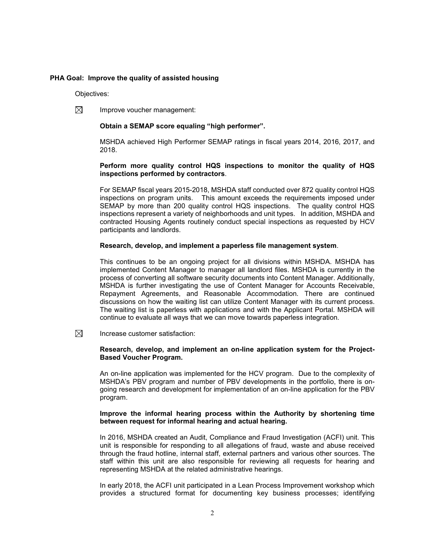### **PHA Goal: Improve the quality of assisted housing**

Objectives:

⊠ Improve voucher management:

### **Obtain a SEMAP score equaling "high performer".**

MSHDA achieved High Performer SEMAP ratings in fiscal years 2014, 2016, 2017, and 2018.

### **Perform more quality control HQS inspections to monitor the quality of HQS inspections performed by contractors**.

For SEMAP fiscal years 2015-2018, MSHDA staff conducted over 872 quality control HQS inspections on program units. This amount exceeds the requirements imposed under SEMAP by more than 200 quality control HQS inspections. The quality control HQS inspections represent a variety of neighborhoods and unit types. In addition, MSHDA and contracted Housing Agents routinely conduct special inspections as requested by HCV participants and landlords.

### **Research, develop, and implement a paperless file management system**.

This continues to be an ongoing project for all divisions within MSHDA. MSHDA has implemented Content Manager to manager all landlord files. MSHDA is currently in the process of converting all software security documents into Content Manager. Additionally, MSHDA is further investigating the use of Content Manager for Accounts Receivable, Repayment Agreements, and Reasonable Accommodation. There are continued discussions on how the waiting list can utilize Content Manager with its current process. The waiting list is paperless with applications and with the Applicant Portal. MSHDA will continue to evaluate all ways that we can move towards paperless integration.

 $\boxtimes$ Increase customer satisfaction:

### **Research, develop, and implement an on-line application system for the Project-Based Voucher Program.**

An on-line application was implemented for the HCV program. Due to the complexity of MSHDA's PBV program and number of PBV developments in the portfolio, there is ongoing research and development for implementation of an on-line application for the PBV program.

### **Improve the informal hearing process within the Authority by shortening time between request for informal hearing and actual hearing.**

In 2016, MSHDA created an Audit, Compliance and Fraud Investigation (ACFI) unit. This unit is responsible for responding to all allegations of fraud, waste and abuse received through the fraud hotline, internal staff, external partners and various other sources. The staff within this unit are also responsible for reviewing all requests for hearing and representing MSHDA at the related administrative hearings.

In early 2018, the ACFI unit participated in a Lean Process Improvement workshop which provides a structured format for documenting key business processes; identifying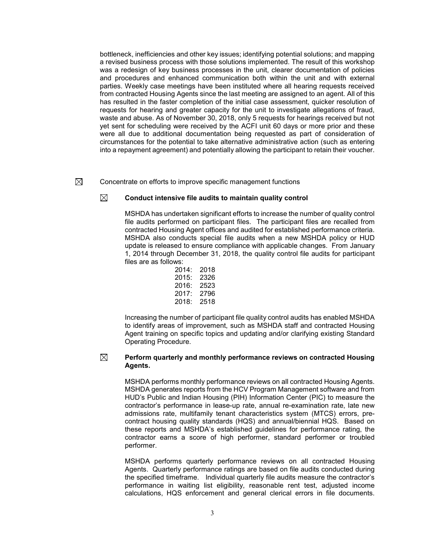bottleneck, inefficiencies and other key issues; identifying potential solutions; and mapping a revised business process with those solutions implemented. The result of this workshop was a redesign of key business processes in the unit, clearer documentation of policies and procedures and enhanced communication both within the unit and with external parties. Weekly case meetings have been instituted where all hearing requests received from contracted Housing Agents since the last meeting are assigned to an agent. All of this has resulted in the faster completion of the initial case assessment, quicker resolution of requests for hearing and greater capacity for the unit to investigate allegations of fraud, waste and abuse. As of November 30, 2018, only 5 requests for hearings received but not yet sent for scheduling were received by the ACFI unit 60 days or more prior and these were all due to additional documentation being requested as part of consideration of circumstances for the potential to take alternative administrative action (such as entering into a repayment agreement) and potentially allowing the participant to retain their voucher.

 $\boxtimes$ Concentrate on efforts to improve specific management functions

#### $\boxtimes$ **Conduct intensive file audits to maintain quality control**

MSHDA has undertaken significant efforts to increase the number of quality control file audits performed on participant files. The participant files are recalled from contracted Housing Agent offices and audited for established performance criteria. MSHDA also conducts special file audits when a new MSHDA policy or HUD update is released to ensure compliance with applicable changes. From January 1, 2014 through December 31, 2018, the quality control file audits for participant files are as follows:

| 2014: | 2018 |
|-------|------|
| 2015: | 2326 |
| 2016: | 2523 |
| 2017: | 2796 |
| 2018: | 2518 |
|       |      |

Increasing the number of participant file quality control audits has enabled MSHDA to identify areas of improvement, such as MSHDA staff and contracted Housing Agent training on specific topics and updating and/or clarifying existing Standard Operating Procedure.

#### ⊠ **Perform quarterly and monthly performance reviews on contracted Housing Agents.**

MSHDA performs monthly performance reviews on all contracted Housing Agents. MSHDA generates reports from the HCV Program Management software and from HUD's Public and Indian Housing (PIH) Information Center (PIC) to measure the contractor's performance in lease-up rate, annual re-examination rate, late new admissions rate, multifamily tenant characteristics system (MTCS) errors, precontract housing quality standards (HQS) and annual/biennial HQS. Based on these reports and MSHDA's established guidelines for performance rating, the contractor earns a score of high performer, standard performer or troubled performer.

MSHDA performs quarterly performance reviews on all contracted Housing Agents. Quarterly performance ratings are based on file audits conducted during the specified timeframe. Individual quarterly file audits measure the contractor's performance in waiting list eligibility, reasonable rent test, adjusted income calculations, HQS enforcement and general clerical errors in file documents.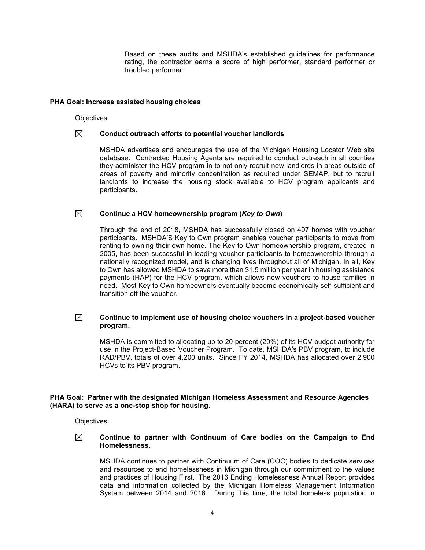Based on these audits and MSHDA's established guidelines for performance rating, the contractor earns a score of high performer, standard performer or troubled performer.

### **PHA Goal: Increase assisted housing choices**

Objectives:

#### ⊠ **Conduct outreach efforts to potential voucher landlords**

MSHDA advertises and encourages the use of the Michigan Housing Locator Web site database. Contracted Housing Agents are required to conduct outreach in all counties they administer the HCV program in to not only recruit new landlords in areas outside of areas of poverty and minority concentration as required under SEMAP, but to recruit landlords to increase the housing stock available to HCV program applicants and participants.

#### $\boxtimes$ **Continue a HCV homeownership program (***Key to Own***)**

Through the end of 2018, MSHDA has successfully closed on 497 homes with voucher participants. MSHDA'S Key to Own program enables voucher participants to move from renting to owning their own home. The Key to Own homeownership program, created in 2005, has been successful in leading voucher participants to homeownership through a nationally recognized model, and is changing lives throughout all of Michigan. In all, Key to Own has allowed MSHDA to save more than \$1.5 million per year in housing assistance payments (HAP) for the HCV program, which allows new vouchers to house families in need. Most Key to Own homeowners eventually become economically self-sufficient and transition off the voucher.

### ⊠ **Continue to implement use of housing choice vouchers in a project-based voucher program.**

MSHDA is committed to allocating up to 20 percent (20%) of its HCV budget authority for use in the Project-Based Voucher Program. To date, MSHDA's PBV program, to include RAD/PBV, totals of over 4,200 units. Since FY 2014, MSHDA has allocated over 2,900 HCVs to its PBV program.

## **PHA Goal**: **Partner with the designated Michigan Homeless Assessment and Resource Agencies (HARA) to serve as a one-stop shop for housing**.

Objectives:

#### ⊠ **Continue to partner with Continuum of Care bodies on the Campaign to End Homelessness.**

MSHDA continues to partner with Continuum of Care (COC) bodies to dedicate services and resources to end homelessness in Michigan through our commitment to the values and practices of Housing First. The 2016 Ending Homelessness Annual Report provides data and information collected by the Michigan Homeless Management Information System between 2014 and 2016. During this time, the total homeless population in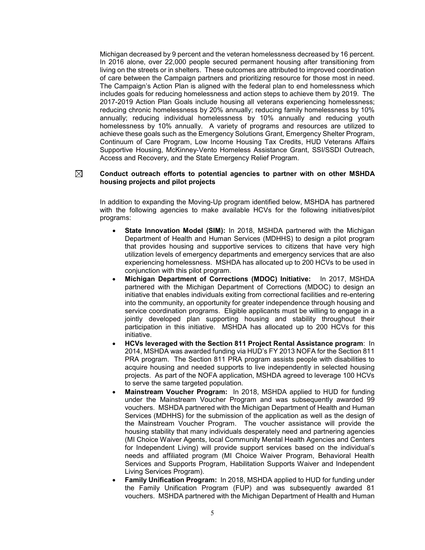Michigan decreased by 9 percent and the veteran homelessness decreased by 16 percent. In 2016 alone, over 22,000 people secured permanent housing after transitioning from living on the streets or in shelters. These outcomes are attributed to improved coordination of care between the Campaign partners and prioritizing resource for those most in need. The Campaign's Action Plan is aligned with the federal plan to end homelessness which includes goals for reducing homelessness and action steps to achieve them by 2019. The 2017-2019 Action Plan Goals include housing all veterans experiencing homelessness; reducing chronic homelessness by 20% annually; reducing family homelessness by 10% annually; reducing individual homelessness by 10% annually and reducing youth homelessness by 10% annually. A variety of programs and resources are utilized to achieve these goals such as the Emergency Solutions Grant, Emergency Shelter Program, Continuum of Care Program, Low Income Housing Tax Credits, HUD Veterans Affairs Supportive Housing, McKinney-Vento Homeless Assistance Grant, SSI/SSDI Outreach, Access and Recovery, and the State Emergency Relief Program.

### ⊠ **Conduct outreach efforts to potential agencies to partner with on other MSHDA housing projects and pilot projects**

In addition to expanding the Moving-Up program identified below, MSHDA has partnered with the following agencies to make available HCVs for the following initiatives/pilot programs:

- **State Innovation Model (SIM):** In 2018, MSHDA partnered with the Michigan Department of Health and Human Services (MDHHS) to design a pilot program that provides housing and supportive services to citizens that have very high utilization levels of emergency departments and emergency services that are also experiencing homelessness. MSHDA has allocated up to 200 HCVs to be used in conjunction with this pilot program.
- **Michigan Department of Corrections (MDOC) Initiative:** In 2017, MSHDA partnered with the Michigan Department of Corrections (MDOC) to design an initiative that enables individuals exiting from correctional facilities and re-entering into the community, an opportunity for greater independence through housing and service coordination programs. Eligible applicants must be willing to engage in a jointly developed plan supporting housing and stability throughout their participation in this initiative. MSHDA has allocated up to 200 HCVs for this initiative.
- **HCVs leveraged with the Section 811 Project Rental Assistance program**: In 2014, MSHDA was awarded funding via HUD's FY 2013 NOFA for the Section 811 PRA program. The Section 811 PRA program assists people with disabilities to acquire housing and needed supports to live independently in selected housing projects. As part of the NOFA application, MSHDA agreed to leverage 100 HCVs to serve the same targeted population.
- **Mainstream Voucher Program:** In 2018, MSHDA applied to HUD for funding under the Mainstream Voucher Program and was subsequently awarded 99 vouchers. MSHDA partnered with the Michigan Department of Health and Human Services (MDHHS) for the submission of the application as well as the design of the Mainstream Voucher Program. The voucher assistance will provide the housing stability that many individuals desperately need and partnering agencies (MI Choice Waiver Agents, local Community Mental Health Agencies and Centers for Independent Living) will provide support services based on the individual's needs and affiliated program (MI Choice Waiver Program, Behavioral Health Services and Supports Program, Habilitation Supports Waiver and Independent Living Services Program).
- **Family Unification Program:** In 2018, MSHDA applied to HUD for funding under the Family Unification Program (FUP) and was subsequently awarded 81 vouchers. MSHDA partnered with the Michigan Department of Health and Human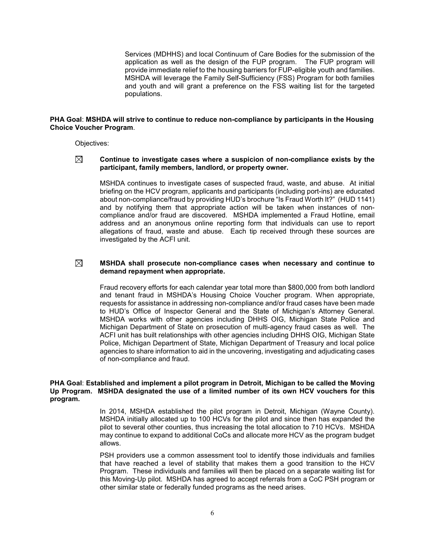Services (MDHHS) and local Continuum of Care Bodies for the submission of the application as well as the design of the FUP program. The FUP program will provide immediate relief to the housing barriers for FUP-eligible youth and families. MSHDA will leverage the Family Self-Sufficiency (FSS) Program for both families and youth and will grant a preference on the FSS waiting list for the targeted populations.

### **PHA Goal**: **MSHDA will strive to continue to reduce non-compliance by participants in the Housing Choice Voucher Program**.

Objectives:

#### ⊠ **Continue to investigate cases where a suspicion of non-compliance exists by the participant, family members, landlord, or property owner.**

MSHDA continues to investigate cases of suspected fraud, waste, and abuse. At initial briefing on the HCV program, applicants and participants (including port-ins) are educated about non-compliance/fraud by providing HUD's brochure "Is Fraud Worth It?" (HUD 1141) and by notifying them that appropriate action will be taken when instances of noncompliance and/or fraud are discovered. MSHDA implemented a Fraud Hotline, email address and an anonymous online reporting form that individuals can use to report allegations of fraud, waste and abuse. Each tip received through these sources are investigated by the ACFI unit.

#### $\boxtimes$ **MSHDA shall prosecute non-compliance cases when necessary and continue to demand repayment when appropriate.**

Fraud recovery efforts for each calendar year total more than \$800,000 from both landlord and tenant fraud in MSHDA's Housing Choice Voucher program. When appropriate, requests for assistance in addressing non-compliance and/or fraud cases have been made to HUD's Office of Inspector General and the State of Michigan's Attorney General. MSHDA works with other agencies including DHHS OIG, Michigan State Police and Michigan Department of State on prosecution of multi-agency fraud cases as well. The ACFI unit has built relationships with other agencies including DHHS OIG, Michigan State Police, Michigan Department of State, Michigan Department of Treasury and local police agencies to share information to aid in the uncovering, investigating and adjudicating cases of non-compliance and fraud.

### **PHA Goal**: **Established and implement a pilot program in Detroit, Michigan to be called the Moving Up Program. MSHDA designated the use of a limited number of its own HCV vouchers for this program.**

In 2014, MSHDA established the pilot program in Detroit, Michigan (Wayne County). MSHDA initially allocated up to 100 HCVs for the pilot and since then has expanded the pilot to several other counties, thus increasing the total allocation to 710 HCVs. MSHDA may continue to expand to additional CoCs and allocate more HCV as the program budget allows.

PSH providers use a common assessment tool to identify those individuals and families that have reached a level of stability that makes them a good transition to the HCV Program. These individuals and families will then be placed on a separate waiting list for this Moving-Up pilot. MSHDA has agreed to accept referrals from a CoC PSH program or other similar state or federally funded programs as the need arises.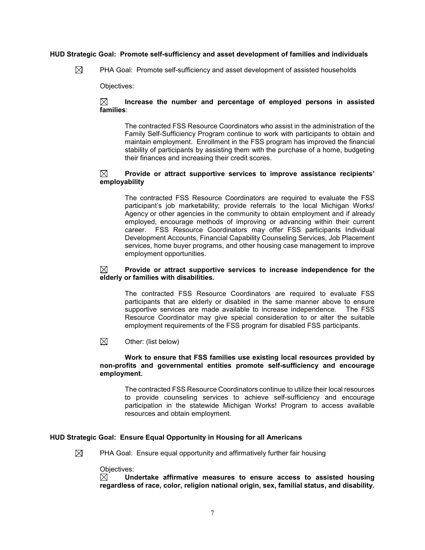## **HUD Strategic Goal: Promote self-sufficiency and asset development of families and individuals**

 $\boxtimes$ PHA Goal: Promote self-sufficiency and asset development of assisted households

Objectives:

### ⊠ **Increase the number and percentage of employed persons in assisted families**:

The contracted FSS Resource Coordinators who assist in the administration of the Family Self-Sufficiency Program continue to work with participants to obtain and maintain employment. Enrollment in the FSS program has improved the financial stability of participants by assisting them with the purchase of a home, budgeting their finances and increasing their credit scores.

### ⊠ **Provide or attract supportive services to improve assistance recipients' employability**

The contracted FSS Resource Coordinators are required to evaluate the FSS participant's job marketability; provide referrals to the local Michigan Works! Agency or other agencies in the community to obtain employment and if already employed, encourage methods of improving or advancing within their current career. FSS Resource Coordinators may offer FSS participants Individual Development Accounts, Financial Capability Counseling Services, Job Placement services, home buyer programs, and other housing case management to improve employment opportunities.

### **Provide or attract supportive services to increase independence for the**  ⊠ **elderly or families with disabilities.**

The contracted FSS Resource Coordinators are required to evaluate FSS participants that are elderly or disabled in the same manner above to ensure supportive services are made available to increase independence. The FSS Resource Coordinator may give special consideration to or alter the suitable employment requirements of the FSS program for disabled FSS participants.

⊠ Other: (list below)

## **Work to ensure that FSS families use existing local resources provided by non-profits and governmental entities promote self-sufficiency and encourage employment.**

The contracted FSS Resource Coordinators continue to utilize their local resources to provide counseling services to achieve self-sufficiency and encourage participation in the statewide Michigan Works! Program to access available resources and obtain employment.

## **HUD Strategic Goal: Ensure Equal Opportunity in Housing for all Americans**

- $\boxtimes$ 
	- PHA Goal: Ensure equal opportunity and affirmatively further fair housing

## Objectives:

 $\boxtimes$ **Undertake affirmative measures to ensure access to assisted housing regardless of race, color, religion national origin, sex, familial status, and disability.**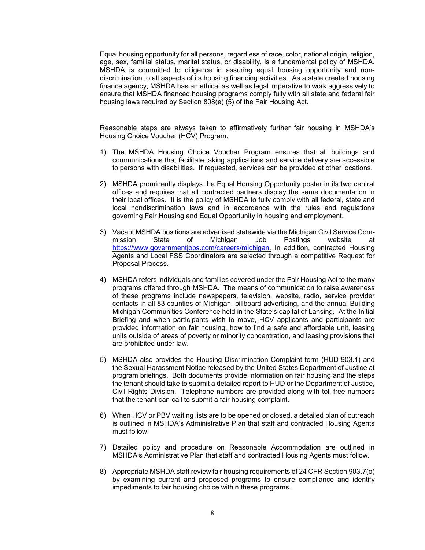Equal housing opportunity for all persons, regardless of race, color, national origin, religion, age, sex, familial status, marital status, or disability, is a fundamental policy of MSHDA. MSHDA is committed to diligence in assuring equal housing opportunity and nondiscrimination to all aspects of its housing financing activities. As a state created housing finance agency, MSHDA has an ethical as well as legal imperative to work aggressively to ensure that MSHDA financed housing programs comply fully with all state and federal fair housing laws required by Section 808(e) (5) of the Fair Housing Act.

Reasonable steps are always taken to affirmatively further fair housing in MSHDA's Housing Choice Voucher (HCV) Program.

- 1) The MSHDA Housing Choice Voucher Program ensures that all buildings and communications that facilitate taking applications and service delivery are accessible to persons with disabilities. If requested, services can be provided at other locations.
- 2) MSHDA prominently displays the Equal Housing Opportunity poster in its two central offices and requires that all contracted partners display the same documentation in their local offices. It is the policy of MSHDA to fully comply with all federal, state and local nondiscrimination laws and in accordance with the rules and regulations governing Fair Housing and Equal Opportunity in housing and employment.
- 3) Vacant MSHDA positions are advertised statewide via the Michigan Civil Service Com-<br>mission State of Michigan Job Postings website at mission State of Michigan Job Postings website at [https://www.governmentjobs.com/careers/michigan.](https://www.governmentjobs.com/careers/michigan) In addition, contracted Housing Agents and Local FSS Coordinators are selected through a competitive Request for Proposal Process.
- 4) MSHDA refers individuals and families covered under the Fair Housing Act to the many programs offered through MSHDA. The means of communication to raise awareness of these programs include newspapers, television, website, radio, service provider contacts in all 83 counties of Michigan, billboard advertising, and the annual Building Michigan Communities Conference held in the State's capital of Lansing. At the Initial Briefing and when participants wish to move, HCV applicants and participants are provided information on fair housing, how to find a safe and affordable unit, leasing units outside of areas of poverty or minority concentration, and leasing provisions that are prohibited under law.
- 5) MSHDA also provides the Housing Discrimination Complaint form (HUD-903.1) and the Sexual Harassment Notice released by the United States Department of Justice at program briefings. Both documents provide information on fair housing and the steps the tenant should take to submit a detailed report to HUD or the Department of Justice, Civil Rights Division. Telephone numbers are provided along with toll-free numbers that the tenant can call to submit a fair housing complaint.
- 6) When HCV or PBV waiting lists are to be opened or closed, a detailed plan of outreach is outlined in MSHDA's Administrative Plan that staff and contracted Housing Agents must follow.
- 7) Detailed policy and procedure on Reasonable Accommodation are outlined in MSHDA's Administrative Plan that staff and contracted Housing Agents must follow.
- 8) Appropriate MSHDA staff review fair housing requirements of 24 CFR Section 903.7(o) by examining current and proposed programs to ensure compliance and identify impediments to fair housing choice within these programs.